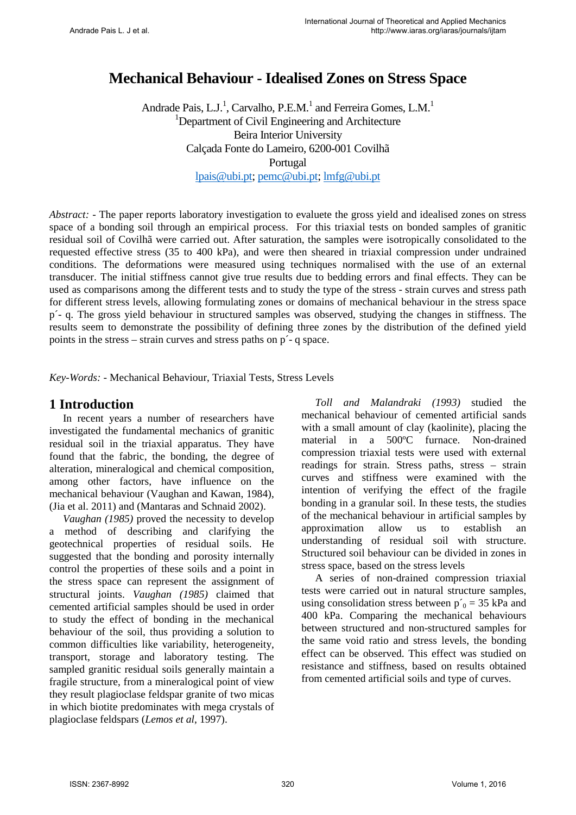# **Mechanical Behaviour - Idealised Zones on Stress Space**

Andrade Pais, L.J.<sup>1</sup>, Carvalho, P.E.M.<sup>1</sup> and Ferreira Gomes, L.M.<sup>1</sup> <sup>1</sup>Department of Civil Engineering and Architecture Beira Interior University Calçada Fonte do Lameiro, 6200-001 Covilhã Portugal [lpais@ubi.pt;](mailto:lpais@ubi.pt) [pemc@ubi.pt;](mailto:pemc@ubi.pt) [lmfg@ubi.pt](mailto:lmfg@ubi.pt) 

*Abstract:* - The paper reports laboratory investigation to evaluete the gross yield and idealised zones on stress space of a bonding soil through an empirical process. For this triaxial tests on bonded samples of granitic residual soil of Covilhã were carried out. After saturation, the samples were isotropically consolidated to the requested effective stress (35 to 400 kPa), and were then sheared in triaxial compression under undrained conditions. The deformations were measured using techniques normalised with the use of an external transducer. The initial stiffness cannot give true results due to bedding errors and final effects. They can be used as comparisons among the different tests and to study the type of the stress - strain curves and stress path for different stress levels, allowing formulating zones or domains of mechanical behaviour in the stress space p´- q. The gross yield behaviour in structured samples was observed, studying the changes in stiffness. The results seem to demonstrate the possibility of defining three zones by the distribution of the defined yield points in the stress – strain curves and stress paths on p´- q space.

*Key-Words: -* Mechanical Behaviour, Triaxial Tests, Stress Levels

### **1 Introduction**

In recent years a number of researchers have investigated the fundamental mechanics of granitic residual soil in the triaxial apparatus. They have found that the fabric, the bonding, the degree of alteration, mineralogical and chemical composition, among other factors, have influence on the mechanical behaviour (Vaughan and Kawan, 1984), (Jia et al. 2011) and (Mantaras and Schnaid 2002).

*Vaughan (1985)* proved the necessity to develop a method of describing and clarifying the geotechnical properties of residual soils. He suggested that the bonding and porosity internally control the properties of these soils and a point in the stress space can represent the assignment of structural joints. *Vaughan (1985)* claimed that cemented artificial samples should be used in order to study the effect of bonding in the mechanical behaviour of the soil, thus providing a solution to common difficulties like variability, heterogeneity, transport, storage and laboratory testing. The sampled granitic residual soils generally maintain a fragile structure, from a mineralogical point of view they result plagioclase feldspar granite of two micas in which biotite predominates with mega crystals of plagioclase feldspars (*Lemos et al*, 1997).

*Toll and Malandraki (1993)* studied the mechanical behaviour of cemented artificial sands with a small amount of clay (kaolinite), placing the material in a 500ºC furnace. Non-drained compression triaxial tests were used with external readings for strain. Stress paths, stress – strain curves and stiffness were examined with the intention of verifying the effect of the fragile bonding in a granular soil. In these tests, the studies of the mechanical behaviour in artificial samples by approximation allow us to establish an understanding of residual soil with structure. Structured soil behaviour can be divided in zones in stress space, based on the stress levels

A series of non-drained compression triaxial tests were carried out in natural structure samples, using consolidation stress between  $p'_0 = 35$  kPa and 400 kPa. Comparing the mechanical behaviours between structured and non-structured samples for the same void ratio and stress levels, the bonding effect can be observed. This effect was studied on resistance and stiffness, based on results obtained from cemented artificial soils and type of curves.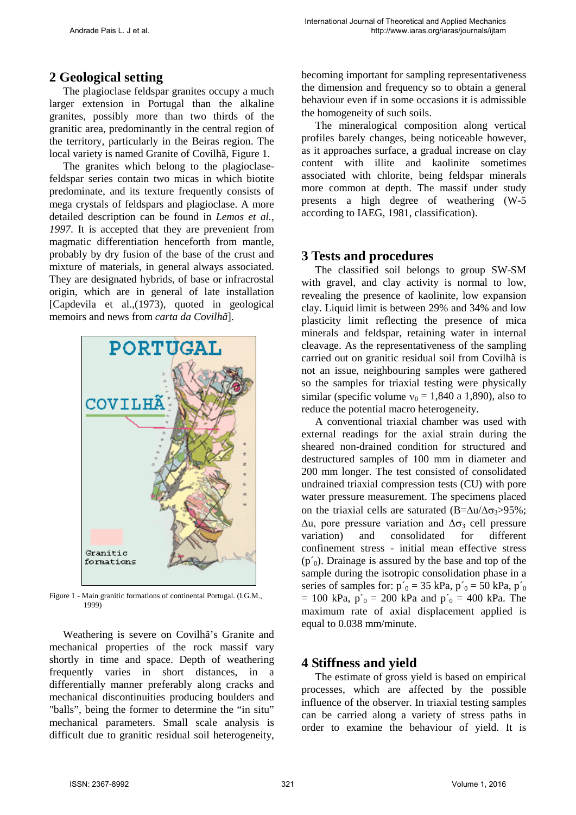# **2 Geological setting**

The plagioclase feldspar granites occupy a much larger extension in Portugal than the alkaline granites, possibly more than two thirds of the granitic area, predominantly in the central region of the territory, particularly in the Beiras region. The local variety is named Granite of Covilhã, Figure 1.

The granites which belong to the plagioclasefeldspar series contain two micas in which biotite predominate, and its texture frequently consists of mega crystals of feldspars and plagioclase. A more detailed description can be found in *Lemos et al., 1997*. It is accepted that they are prevenient from magmatic differentiation henceforth from mantle, probably by dry fusion of the base of the crust and mixture of materials, in general always associated. They are designated hybrids, of base or infracrostal origin, which are in general of late installation [Capdevila et al.,(1973), quoted in geological memoirs and news from *carta da Covilhã*].



Figure 1 - Main granitic formations of continental Portugal. (I.G.M., 1999)

Weathering is severe on Covilhã's Granite and mechanical properties of the rock massif vary shortly in time and space. Depth of weathering frequently varies in short distances, in a differentially manner preferably along cracks and mechanical discontinuities producing boulders and "balls", being the former to determine the "in situ" mechanical parameters. Small scale analysis is difficult due to granitic residual soil heterogeneity, becoming important for sampling representativeness the dimension and frequency so to obtain a general behaviour even if in some occasions it is admissible the homogeneity of such soils.

The mineralogical composition along vertical profiles barely changes, being noticeable however, as it approaches surface, a gradual increase on clay content with illite and kaolinite sometimes associated with chlorite, being feldspar minerals more common at depth. The massif under study presents a high degree of weathering (W-5 according to IAEG, 1981, classification).

# **3 Tests and procedures**

The classified soil belongs to group SW-SM with gravel, and clay activity is normal to low, revealing the presence of kaolinite, low expansion clay. Liquid limit is between 29% and 34% and low plasticity limit reflecting the presence of mica minerals and feldspar, retaining water in internal cleavage. As the representativeness of the sampling carried out on granitic residual soil from Covilhã is not an issue, neighbouring samples were gathered so the samples for triaxial testing were physically similar (specific volume  $v_0 = 1,840$  a 1,890), also to reduce the potential macro heterogeneity.

A conventional triaxial chamber was used with external readings for the axial strain during the sheared non-drained condition for structured and destructured samples of 100 mm in diameter and 200 mm longer. The test consisted of consolidated undrained triaxial compression tests (CU) with pore water pressure measurement. The specimens placed on the triaxial cells are saturated (B= $\Delta u/\Delta \sigma_3 > 95\%$ ;  $\Delta u$ , pore pressure variation and  $\Delta \sigma_3$  cell pressure variation) and consolidated for different consolidated confinement stress - initial mean effective stress  $(p_0)$ . Drainage is assured by the base and top of the sample during the isotropic consolidation phase in a series of samples for:  $p'_{0} = 35$  kPa,  $p'_{0} = 50$  kPa,  $p'_{0}$  $= 100 \text{ kPa}, p'_{0} = 200 \text{ kPa}$  and  $p'_{0} = 400 \text{ kPa}$ . The maximum rate of axial displacement applied is equal to 0.038 mm/minute.

# **4 Stiffness and yield**

The estimate of gross yield is based on empirical processes, which are affected by the possible influence of the observer. In triaxial testing samples can be carried along a variety of stress paths in order to examine the behaviour of yield. It is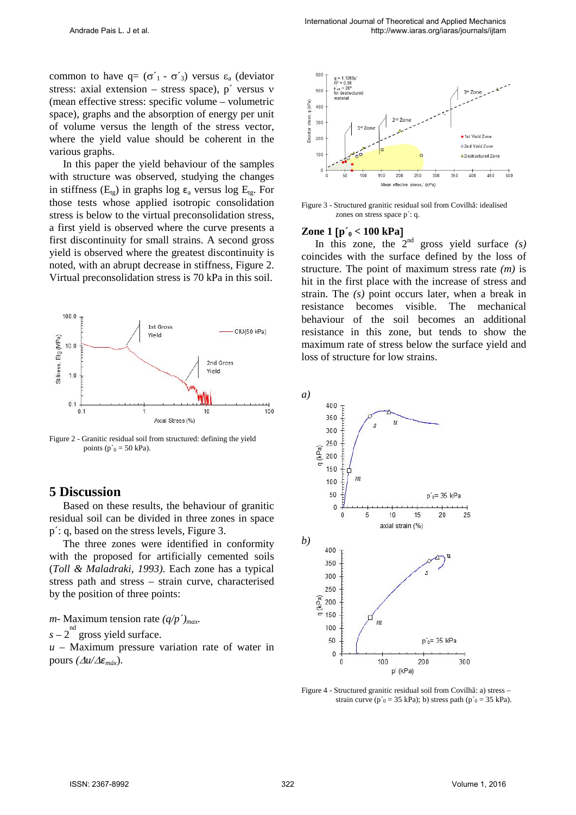common to have  $q = (\sigma'_1 - \sigma'_3)$  versus  $\varepsilon_a$  (deviator stress: axial extension – stress space), p´ versus ν (mean effective stress: specific volume – volumetric space), graphs and the absorption of energy per unit of volume versus the length of the stress vector, where the yield value should be coherent in the various graphs.

In this paper the yield behaviour of the samples with structure was observed, studying the changes in stiffness ( $E_{tg}$ ) in graphs log  $\varepsilon_a$  versus log  $E_{tg}$ . For those tests whose applied isotropic consolidation stress is below to the virtual preconsolidation stress, a first yield is observed where the curve presents a first discontinuity for small strains. A second gross yield is observed where the greatest discontinuity is noted, with an abrupt decrease in stiffness, Figure 2. Virtual preconsolidation stress is 70 kPa in this soil.



Figure 2 - Granitic residual soil from structured: defining the yield points ( $p_0$  = 50 kPa).

### **5 Discussion**

Based on these results, the behaviour of granitic residual soil can be divided in three zones in space p´: q, based on the stress levels, Figure 3.

The three zones were identified in conformity with the proposed for artificially cemented soils (*Toll & Maladraki, 1993)*. Each zone has a typical stress path and stress – strain curve, characterised by the position of three points:

*m*- Maximum tension rate  $(q/p')_{max}$ .

 $s - 2$ <sup>nd</sup> gross yield surface.

*u* – Maximum pressure variation rate of water in pours *(*∆*u/*∆*εmáx*).



Figure 3 - Structured granitic residual soil from Covilhã: idealised zones on stress space p´: q.

#### **Zone 1 [p'<sub>0</sub> < 100 kPa]**

In this zone, the  $2<sup>nd</sup>$  gross yield surface  $(s)$ coincides with the surface defined by the loss of structure. The point of maximum stress rate *(m)* is hit in the first place with the increase of stress and strain. The *(s)* point occurs later, when a break in resistance becomes visible. The mechanical behaviour of the soil becomes an additional resistance in this zone, but tends to show the maximum rate of stress below the surface yield and loss of structure for low strains.



Figure 4 - Structured granitic residual soil from Covilhã: a) stress – strain curve ( $p'_{0}$  = 35 kPa); b) stress path ( $p'_{0}$  = 35 kPa).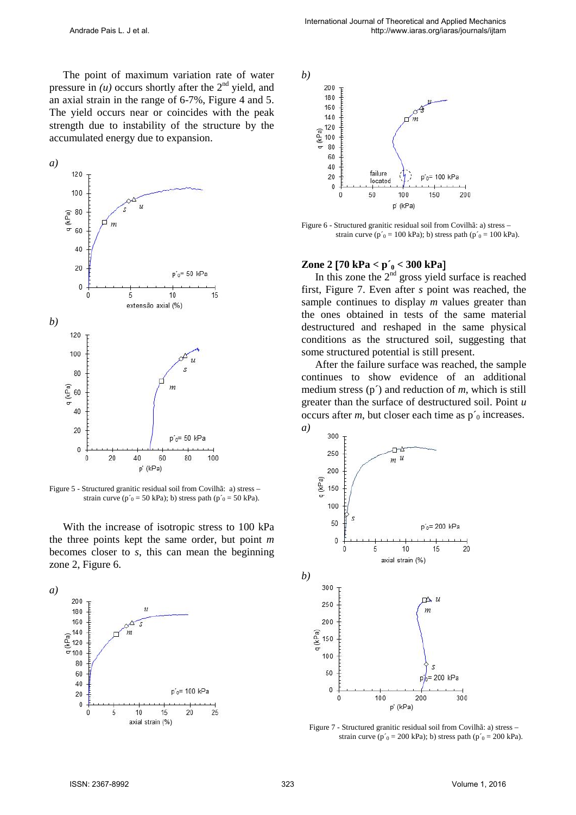The point of maximum variation rate of water pressure in  $(u)$  occurs shortly after the  $2<sup>nd</sup>$  yield, and an axial strain in the range of 6-7%, Figure 4 and 5. The yield occurs near or coincides with the peak strength due to instability of the structure by the accumulated energy due to expansion.



Figure 5 - Structured granitic residual soil from Covilhã: a) stress – strain curve ( $p'_{0}$  = 50 kPa); b) stress path ( $p'_{0}$  = 50 kPa).

With the increase of isotropic stress to 100 kPa the three points kept the same order, but point *m* becomes closer to *s*, this can mean the beginning zone 2, Figure 6.





Figure 6 - Structured granitic residual soil from Covilhã: a) stress – strain curve ( $p'_{0}$  = 100 kPa); b) stress path ( $p'_{0}$  = 100 kPa).

#### **Zone 2** [**70 kPa < p´0 < 300 kPa**]

In this zone the  $2<sup>nd</sup>$  gross yield surface is reached first, Figure 7. Even after *s* point was reached, the sample continues to display *m* values greater than the ones obtained in tests of the same material destructured and reshaped in the same physical conditions as the structured soil, suggesting that some structured potential is still present.

After the failure surface was reached, the sample continues to show evidence of an additional medium stress (p´) and reduction of *m*, which is still greater than the surface of destructured soil. Point *u* occurs after  $m$ , but closer each time as  $p'_0$  increases.



Figure 7 - Structured granitic residual soil from Covilhã: a) stress – strain curve ( $p'_{0}$  = 200 kPa); b) stress path ( $p'_{0}$  = 200 kPa).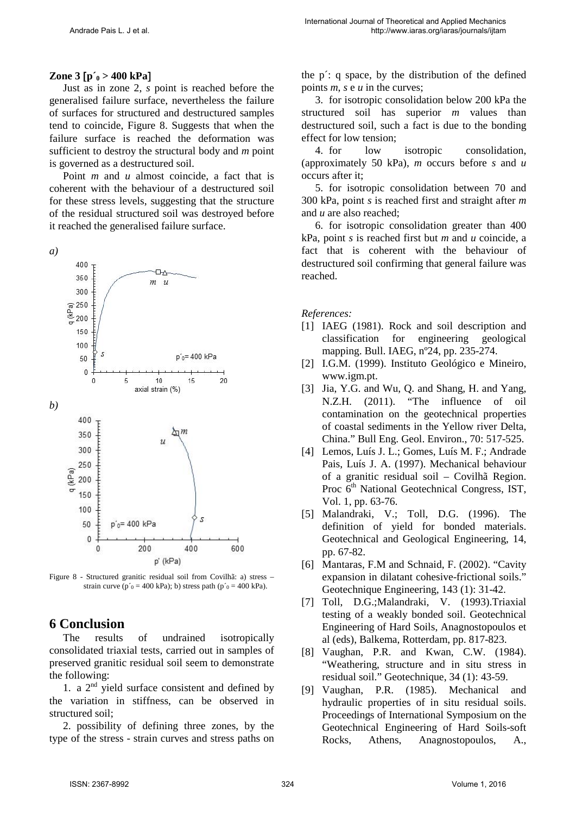### **Zone 3** [**p´0 > 400 kPa**]

Just as in zone 2, *s* point is reached before the generalised failure surface, nevertheless the failure of surfaces for structured and destructured samples tend to coincide, Figure 8. Suggests that when the failure surface is reached the deformation was sufficient to destroy the structural body and *m* point is governed as a destructured soil.

Point *m* and *u* almost coincide, a fact that is coherent with the behaviour of a destructured soil for these stress levels, suggesting that the structure of the residual structured soil was destroyed before it reached the generalised failure surface.



Figure 8 - Structured granitic residual soil from Covilhã: a) stress – strain curve ( $p'_{0}$  = 400 kPa); b) stress path ( $p'_{0}$  = 400 kPa).

# **6 Conclusion**

The results of undrained isotropically consolidated triaxial tests, carried out in samples of preserved granitic residual soil seem to demonstrate the following:

1. a  $2<sup>nd</sup>$  yield surface consistent and defined by the variation in stiffness, can be observed in structured soil;

2. possibility of defining three zones, by the type of the stress - strain curves and stress paths on the p´: q space, by the distribution of the defined points *m*, *s* e *u* in the curves;

3. for isotropic consolidation below 200 kPa the structured soil has superior *m* values than destructured soil, such a fact is due to the bonding effect for low tension;

4. for low isotropic consolidation, (approximately 50 kPa), *m* occurs before *s* and *u* occurs after it;

5. for isotropic consolidation between 70 and 300 kPa, point *s* is reached first and straight after *m* and *u* are also reached;

6. for isotropic consolidation greater than 400 kPa, point *s* is reached first but *m* and *u* coincide, a fact that is coherent with the behaviour of destructured soil confirming that general failure was reached.

*References:* 

- [1] IAEG (1981). Rock and soil description and classification for engineering geological mapping. Bull. IAEG, nº24, pp. 235-274.
- [2] I.G.M. (1999). Instituto Geológico e Mineiro, www.igm.pt.
- [3] Jia, Y.G. and Wu, Q. and Shang, H. and Yang, N.Z.H. (2011). "The influence of oil contamination on the geotechnical properties of coastal sediments in the Yellow river Delta, China." Bull Eng. Geol. Environ., 70: 517-525.
- [4] Lemos, Luís J. L.; Gomes, Luís M. F.; Andrade Pais, Luís J. A. (1997). Mechanical behaviour of a granitic residual soil – Covilhã Region. Proc 6<sup>th</sup> National Geotechnical Congress, IST, Vol. 1, pp. 63-76.
- [5] Malandraki, V.; Toll, D.G. (1996). The definition of yield for bonded materials. Geotechnical and Geological Engineering, 14, pp. 67-82.
- [6] Mantaras, F.M and Schnaid, F. (2002). "Cavity expansion in dilatant cohesive-frictional soils." Geotechnique Engineering, 143 (1): 31-42.
- [7] Toll, D.G.;Malandraki, V. (1993).Triaxial testing of a weakly bonded soil. Geotechnical Engineering of Hard Soils, Anagnostopoulos et al (eds), Balkema, Rotterdam, pp. 817-823.
- [8] Vaughan, P.R. and Kwan, C.W. (1984). "Weathering, structure and in situ stress in residual soil." Geotechnique, 34 (1): 43-59.
- [9] Vaughan, P.R. (1985). Mechanical and hydraulic properties of in situ residual soils. Proceedings of International Symposium on the Geotechnical Engineering of Hard Soils-soft Rocks, Athens, Anagnostopoulos, A.,